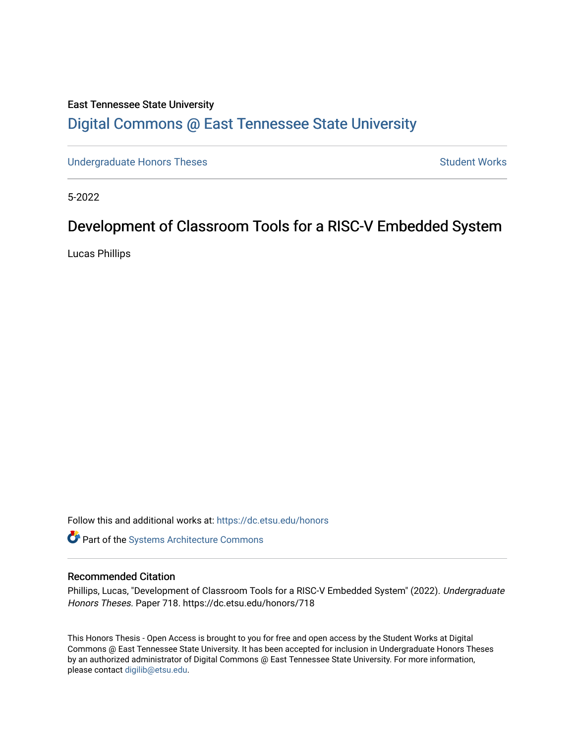# East Tennessee State University [Digital Commons @ East Tennessee State University](https://dc.etsu.edu/)

[Undergraduate Honors Theses](https://dc.etsu.edu/honors) **Student Works** Student Works

5-2022

# Development of Classroom Tools for a RISC-V Embedded System

Lucas Phillips

Follow this and additional works at: [https://dc.etsu.edu/honors](https://dc.etsu.edu/honors?utm_source=dc.etsu.edu%2Fhonors%2F718&utm_medium=PDF&utm_campaign=PDFCoverPages)

Part of the [Systems Architecture Commons](http://network.bepress.com/hgg/discipline/144?utm_source=dc.etsu.edu%2Fhonors%2F718&utm_medium=PDF&utm_campaign=PDFCoverPages) 

#### Recommended Citation

Phillips, Lucas, "Development of Classroom Tools for a RISC-V Embedded System" (2022). Undergraduate Honors Theses. Paper 718. https://dc.etsu.edu/honors/718

This Honors Thesis - Open Access is brought to you for free and open access by the Student Works at Digital Commons @ East Tennessee State University. It has been accepted for inclusion in Undergraduate Honors Theses by an authorized administrator of Digital Commons @ East Tennessee State University. For more information, please contact [digilib@etsu.edu.](mailto:digilib@etsu.edu)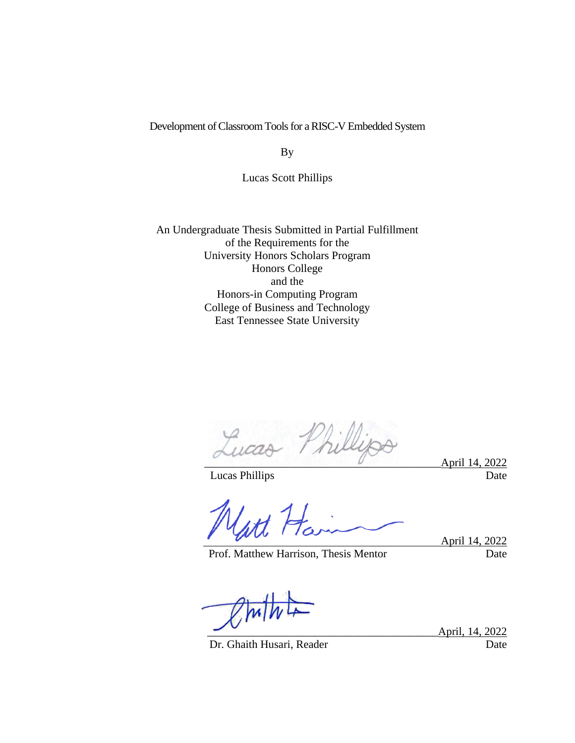#### Development of Classroom Tools for a RISC-V Embedded System

By

Lucas Scott Phillips

An Undergraduate Thesis Submitted in Partial Fulfillment of the Requirements for the University Honors Scholars Program Honors College and the Honors-in Computing Program College of Business and Technology East Tennessee State University

Lucas Phillips April 14, 2022

Lucas Phillips Date

Prof. Matthew Harrison, Thesis Mentor Date

April 14, 2022

Dr. Ghaith Husari, Reader Date

April, 14, 2022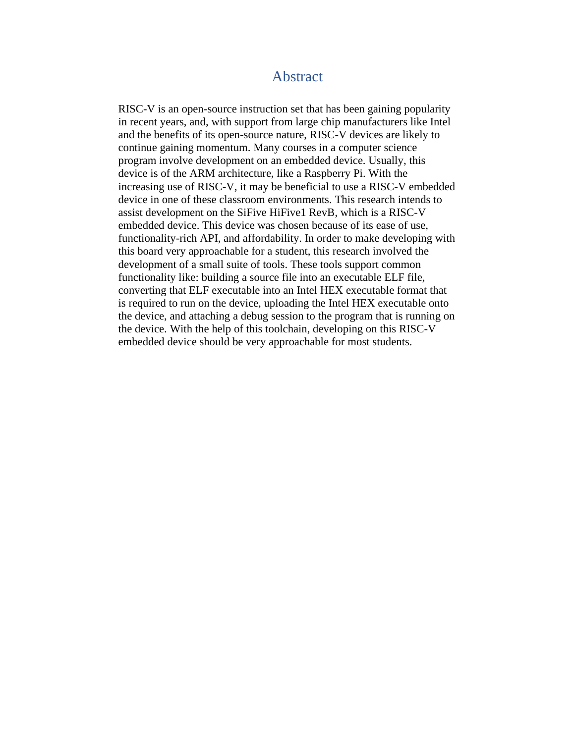### Abstract

<span id="page-2-0"></span>RISC-V is an open-source instruction set that has been gaining popularity in recent years, and, with support from large chip manufacturers like Intel and the benefits of its open-source nature, RISC-V devices are likely to continue gaining momentum. Many courses in a computer science program involve development on an embedded device. Usually, this device is of the ARM architecture, like a Raspberry Pi. With the increasing use of RISC-V, it may be beneficial to use a RISC-V embedded device in one of these classroom environments. This research intends to assist development on the SiFive HiFive1 RevB, which is a RISC-V embedded device. This device was chosen because of its ease of use, functionality-rich API, and affordability. In order to make developing with this board very approachable for a student, this research involved the development of a small suite of tools. These tools support common functionality like: building a source file into an executable ELF file, converting that ELF executable into an Intel HEX executable format that is required to run on the device, uploading the Intel HEX executable onto the device, and attaching a debug session to the program that is running on the device. With the help of this toolchain, developing on this RISC-V embedded device should be very approachable for most students.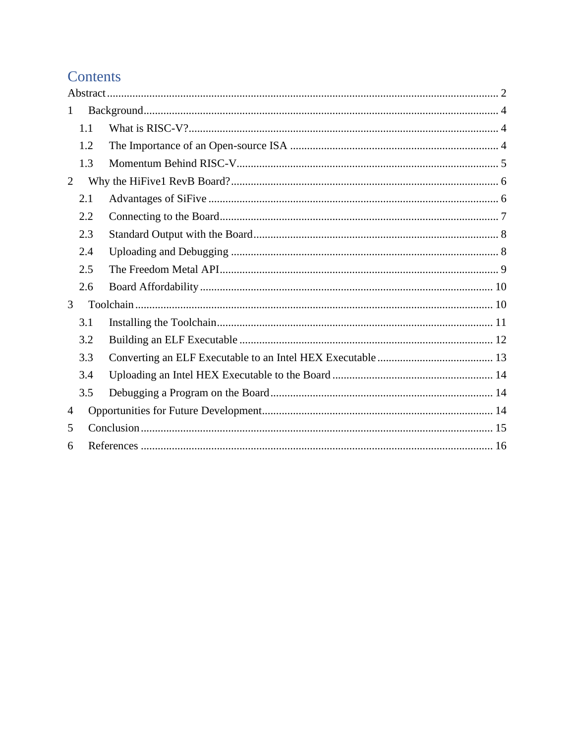# Contents

| $\mathbf{1}$ |     |  |  |  |  |  |  |  |
|--------------|-----|--|--|--|--|--|--|--|
|              | 1.1 |  |  |  |  |  |  |  |
|              | 1.2 |  |  |  |  |  |  |  |
|              | 1.3 |  |  |  |  |  |  |  |
| 2            |     |  |  |  |  |  |  |  |
|              | 2.1 |  |  |  |  |  |  |  |
|              | 2.2 |  |  |  |  |  |  |  |
|              | 2.3 |  |  |  |  |  |  |  |
|              | 2.4 |  |  |  |  |  |  |  |
|              | 2.5 |  |  |  |  |  |  |  |
|              | 2.6 |  |  |  |  |  |  |  |
| 3            |     |  |  |  |  |  |  |  |
|              | 3.1 |  |  |  |  |  |  |  |
|              | 3.2 |  |  |  |  |  |  |  |
|              | 3.3 |  |  |  |  |  |  |  |
|              | 3.4 |  |  |  |  |  |  |  |
|              | 3.5 |  |  |  |  |  |  |  |
| 4            |     |  |  |  |  |  |  |  |
| 5            |     |  |  |  |  |  |  |  |
| 6            |     |  |  |  |  |  |  |  |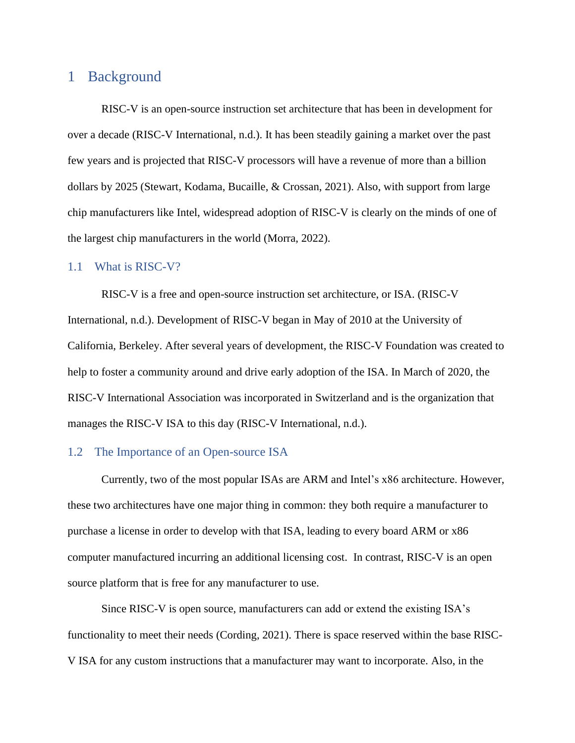## <span id="page-4-0"></span>1 Background

RISC-V is an open-source instruction set architecture that has been in development for over a decade (RISC-V International, n.d.). It has been steadily gaining a market over the past few years and is projected that RISC-V processors will have a revenue of more than a billion dollars by 2025 (Stewart, Kodama, Bucaille, & Crossan, 2021). Also, with support from large chip manufacturers like Intel, widespread adoption of RISC-V is clearly on the minds of one of the largest chip manufacturers in the world (Morra, 2022).

#### <span id="page-4-1"></span>1.1 What is RISC-V?

RISC-V is a free and open-source instruction set architecture, or ISA. (RISC-V International, n.d.). Development of RISC-V began in May of 2010 at the University of California, Berkeley. After several years of development, the RISC-V Foundation was created to help to foster a community around and drive early adoption of the ISA. In March of 2020, the RISC-V International Association was incorporated in Switzerland and is the organization that manages the RISC-V ISA to this day (RISC-V International, n.d.).

#### <span id="page-4-2"></span>1.2 The Importance of an Open-source ISA

Currently, two of the most popular ISAs are ARM and Intel's x86 architecture. However, these two architectures have one major thing in common: they both require a manufacturer to purchase a license in order to develop with that ISA, leading to every board ARM or x86 computer manufactured incurring an additional licensing cost. In contrast, RISC-V is an open source platform that is free for any manufacturer to use.

Since RISC-V is open source, manufacturers can add or extend the existing ISA's functionality to meet their needs (Cording, 2021). There is space reserved within the base RISC-V ISA for any custom instructions that a manufacturer may want to incorporate. Also, in the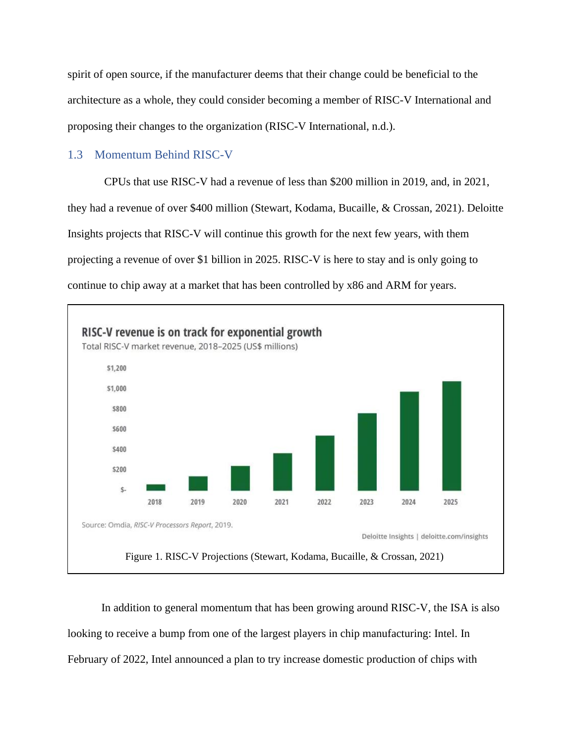spirit of open source, if the manufacturer deems that their change could be beneficial to the architecture as a whole, they could consider becoming a member of RISC-V International and proposing their changes to the organization (RISC-V International, n.d.).

#### <span id="page-5-0"></span>1.3 Momentum Behind RISC-V

CPUs that use RISC-V had a revenue of less than \$200 million in 2019, and, in 2021, they had a revenue of over \$400 million (Stewart, Kodama, Bucaille, & Crossan, 2021). Deloitte Insights projects that RISC-V will continue this growth for the next few years, with them projecting a revenue of over \$1 billion in 2025. RISC-V is here to stay and is only going to continue to chip away at a market that has been controlled by x86 and ARM for years.



In addition to general momentum that has been growing around RISC-V, the ISA is also looking to receive a bump from one of the largest players in chip manufacturing: Intel. In February of 2022, Intel announced a plan to try increase domestic production of chips with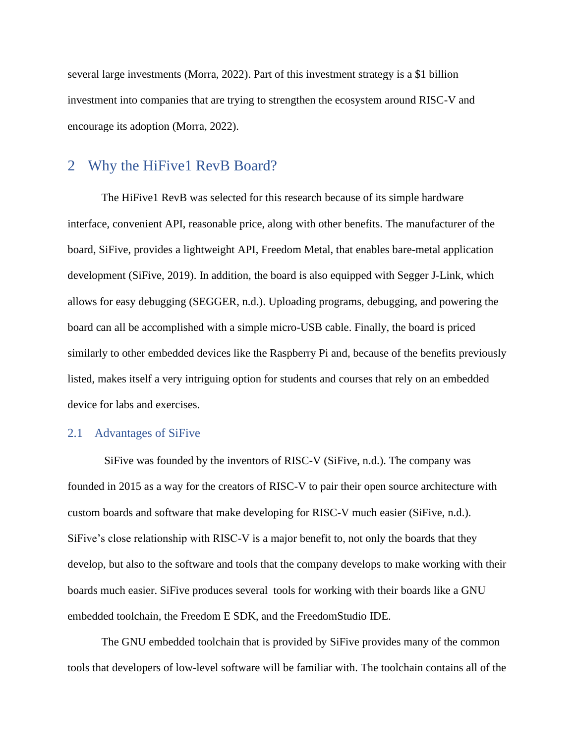several large investments (Morra, 2022). Part of this investment strategy is a \$1 billion investment into companies that are trying to strengthen the ecosystem around RISC-V and encourage its adoption (Morra, 2022).

### <span id="page-6-0"></span>2 Why the HiFive1 RevB Board?

The HiFive1 RevB was selected for this research because of its simple hardware interface, convenient API, reasonable price, along with other benefits. The manufacturer of the board, SiFive, provides a lightweight API, Freedom Metal, that enables bare-metal application development (SiFive, 2019). In addition, the board is also equipped with Segger J-Link, which allows for easy debugging (SEGGER, n.d.). Uploading programs, debugging, and powering the board can all be accomplished with a simple micro-USB cable. Finally, the board is priced similarly to other embedded devices like the Raspberry Pi and, because of the benefits previously listed, makes itself a very intriguing option for students and courses that rely on an embedded device for labs and exercises.

#### <span id="page-6-1"></span>2.1 Advantages of SiFive

SiFive was founded by the inventors of RISC-V (SiFive, n.d.). The company was founded in 2015 as a way for the creators of RISC-V to pair their open source architecture with custom boards and software that make developing for RISC-V much easier (SiFive, n.d.). SiFive's close relationship with RISC-V is a major benefit to, not only the boards that they develop, but also to the software and tools that the company develops to make working with their boards much easier. SiFive produces several tools for working with their boards like a GNU embedded toolchain, the Freedom E SDK, and the FreedomStudio IDE.

The GNU embedded toolchain that is provided by SiFive provides many of the common tools that developers of low-level software will be familiar with. The toolchain contains all of the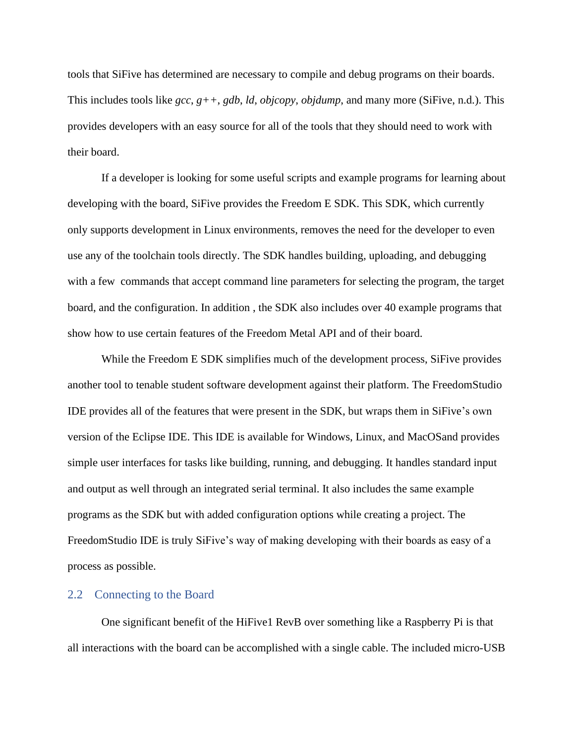tools that SiFive has determined are necessary to compile and debug programs on their boards. This includes tools like *gcc*, *g++*, *gdb*, *ld*, *objcopy*, *objdump*, and many more (SiFive, n.d.). This provides developers with an easy source for all of the tools that they should need to work with their board.

If a developer is looking for some useful scripts and example programs for learning about developing with the board, SiFive provides the Freedom E SDK. This SDK, which currently only supports development in Linux environments, removes the need for the developer to even use any of the toolchain tools directly. The SDK handles building, uploading, and debugging with a few commands that accept command line parameters for selecting the program, the target board, and the configuration. In addition , the SDK also includes over 40 example programs that show how to use certain features of the Freedom Metal API and of their board.

While the Freedom E SDK simplifies much of the development process, SiFive provides another tool to tenable student software development against their platform. The FreedomStudio IDE provides all of the features that were present in the SDK, but wraps them in SiFive's own version of the Eclipse IDE. This IDE is available for Windows, Linux, and MacOSand provides simple user interfaces for tasks like building, running, and debugging. It handles standard input and output as well through an integrated serial terminal. It also includes the same example programs as the SDK but with added configuration options while creating a project. The FreedomStudio IDE is truly SiFive's way of making developing with their boards as easy of a process as possible.

#### <span id="page-7-0"></span>2.2 Connecting to the Board

One significant benefit of the HiFive1 RevB over something like a Raspberry Pi is that all interactions with the board can be accomplished with a single cable. The included micro-USB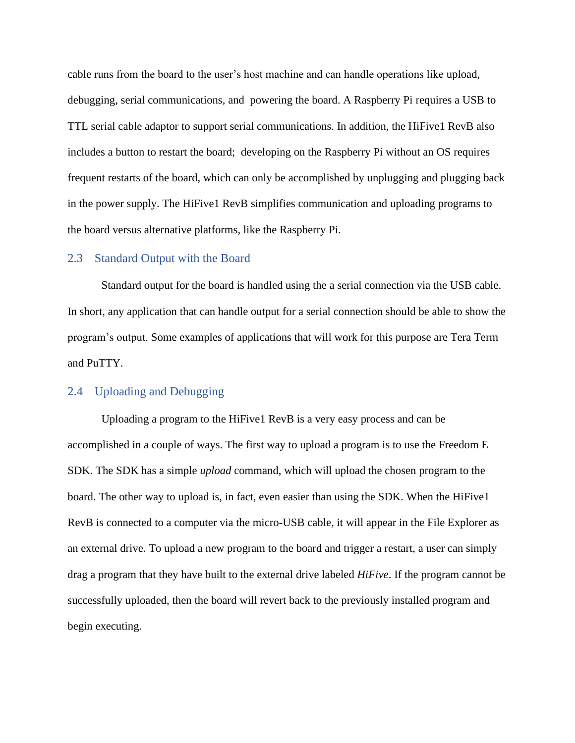cable runs from the board to the user's host machine and can handle operations like upload, debugging, serial communications, and powering the board. A Raspberry Pi requires a USB to TTL serial cable adaptor to support serial communications. In addition, the HiFive1 RevB also includes a button to restart the board; developing on the Raspberry Pi without an OS requires frequent restarts of the board, which can only be accomplished by unplugging and plugging back in the power supply. The HiFive1 RevB simplifies communication and uploading programs to the board versus alternative platforms, like the Raspberry Pi.

#### <span id="page-8-0"></span>2.3 Standard Output with the Board

Standard output for the board is handled using the a serial connection via the USB cable. In short, any application that can handle output for a serial connection should be able to show the program's output. Some examples of applications that will work for this purpose are Tera Term and PuTTY.

#### <span id="page-8-1"></span>2.4 Uploading and Debugging

Uploading a program to the HiFive1 RevB is a very easy process and can be accomplished in a couple of ways. The first way to upload a program is to use the Freedom E SDK. The SDK has a simple *upload* command, which will upload the chosen program to the board. The other way to upload is, in fact, even easier than using the SDK. When the HiFive1 RevB is connected to a computer via the micro-USB cable, it will appear in the File Explorer as an external drive. To upload a new program to the board and trigger a restart, a user can simply drag a program that they have built to the external drive labeled *HiFive*. If the program cannot be successfully uploaded, then the board will revert back to the previously installed program and begin executing.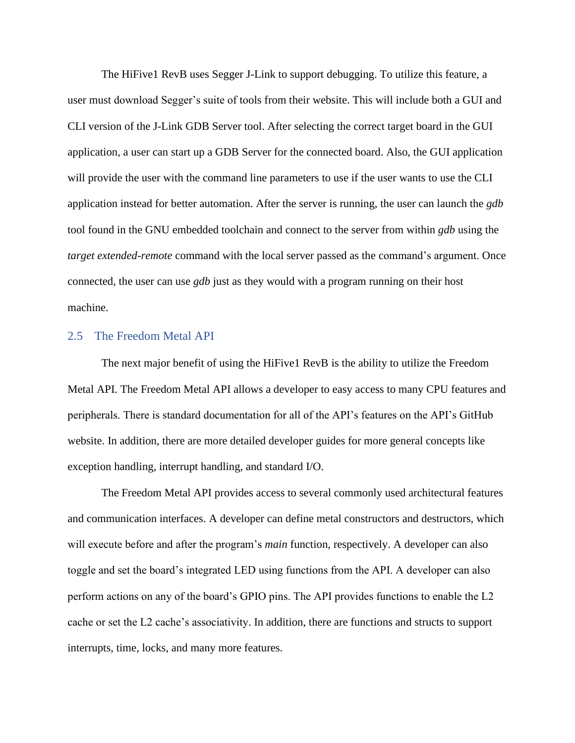The HiFive1 RevB uses Segger J-Link to support debugging. To utilize this feature, a user must download Segger's suite of tools from their website. This will include both a GUI and CLI version of the J-Link GDB Server tool. After selecting the correct target board in the GUI application, a user can start up a GDB Server for the connected board. Also, the GUI application will provide the user with the command line parameters to use if the user wants to use the CLI application instead for better automation. After the server is running, the user can launch the *gdb* tool found in the GNU embedded toolchain and connect to the server from within *gdb* using the *target extended-remote* command with the local server passed as the command's argument. Once connected, the user can use *gdb* just as they would with a program running on their host machine.

#### <span id="page-9-0"></span>2.5 The Freedom Metal API

The next major benefit of using the HiFive1 RevB is the ability to utilize the Freedom Metal API. The Freedom Metal API allows a developer to easy access to many CPU features and peripherals. There is standard documentation for all of the API's features on the API's GitHub website. In addition, there are more detailed developer guides for more general concepts like exception handling, interrupt handling, and standard I/O.

The Freedom Metal API provides access to several commonly used architectural features and communication interfaces. A developer can define metal constructors and destructors, which will execute before and after the program's *main* function, respectively. A developer can also toggle and set the board's integrated LED using functions from the API. A developer can also perform actions on any of the board's GPIO pins. The API provides functions to enable the L2 cache or set the L2 cache's associativity. In addition, there are functions and structs to support interrupts, time, locks, and many more features.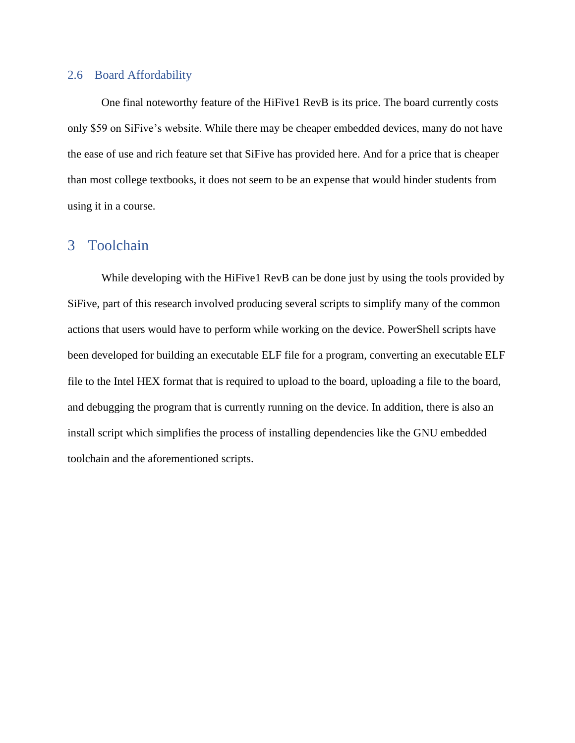#### <span id="page-10-0"></span>2.6 Board Affordability

One final noteworthy feature of the HiFive1 RevB is its price. The board currently costs only \$59 on SiFive's website. While there may be cheaper embedded devices, many do not have the ease of use and rich feature set that SiFive has provided here. And for a price that is cheaper than most college textbooks, it does not seem to be an expense that would hinder students from using it in a course.

### <span id="page-10-1"></span>3 Toolchain

While developing with the HiFive1 RevB can be done just by using the tools provided by SiFive, part of this research involved producing several scripts to simplify many of the common actions that users would have to perform while working on the device. PowerShell scripts have been developed for building an executable ELF file for a program, converting an executable ELF file to the Intel HEX format that is required to upload to the board, uploading a file to the board, and debugging the program that is currently running on the device. In addition, there is also an install script which simplifies the process of installing dependencies like the GNU embedded toolchain and the aforementioned scripts.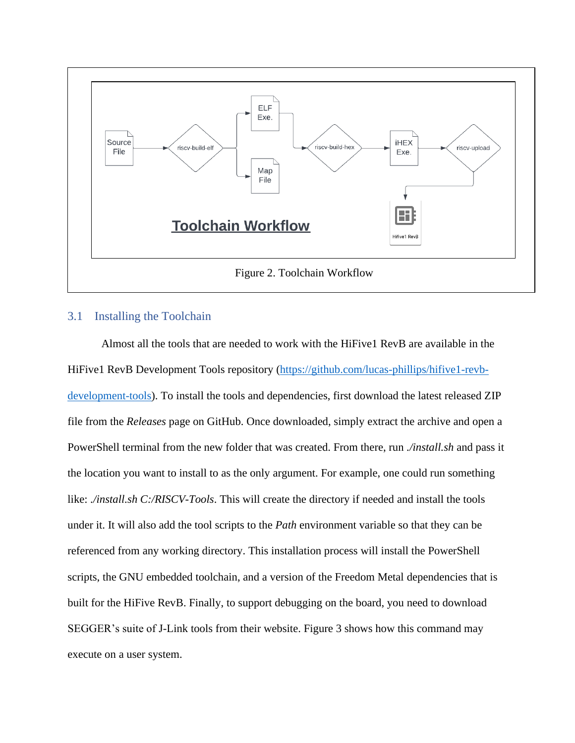

#### <span id="page-11-0"></span>3.1 Installing the Toolchain

Almost all the tools that are needed to work with the HiFive1 RevB are available in the HiFive1 RevB Development Tools repository [\(https://github.com/lucas-phillips/hifive1-revb](https://github.com/lucas-phillips/hifive1-revb-development-tools)[development-tools\)](https://github.com/lucas-phillips/hifive1-revb-development-tools). To install the tools and dependencies, first download the latest released ZIP file from the *Releases* page on GitHub. Once downloaded, simply extract the archive and open a PowerShell terminal from the new folder that was created. From there, run *./install.sh* and pass it the location you want to install to as the only argument. For example, one could run something like: *./install.sh C:/RISCV-Tools*. This will create the directory if needed and install the tools under it. It will also add the tool scripts to the *Path* environment variable so that they can be referenced from any working directory. This installation process will install the PowerShell scripts, the GNU embedded toolchain, and a version of the Freedom Metal dependencies that is built for the HiFive RevB. Finally, to support debugging on the board, you need to download SEGGER's suite of J-Link tools from their website. Figure 3 shows how this command may execute on a user system.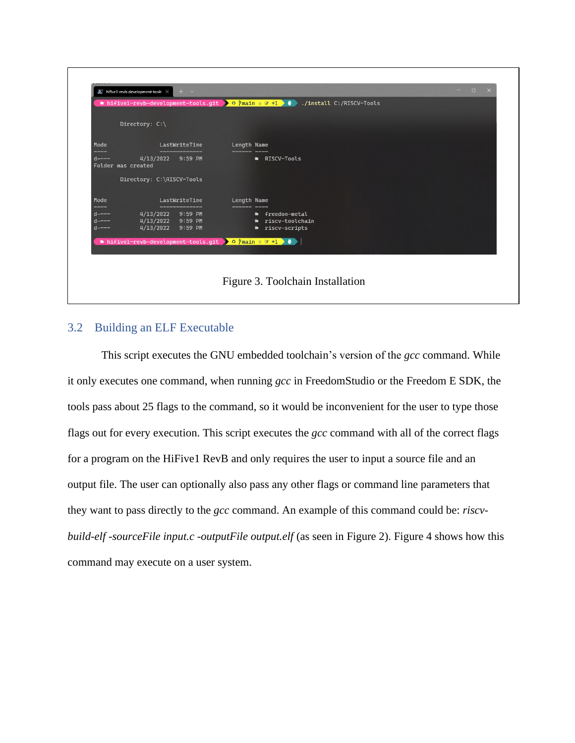|                                                   | Directory: C:\                                                |               |                                 |                                                                                                                                                        |  |  |  |
|---------------------------------------------------|---------------------------------------------------------------|---------------|---------------------------------|--------------------------------------------------------------------------------------------------------------------------------------------------------|--|--|--|
| Mode                                              |                                                               | LastWriteTime | <b>Length Name</b>              |                                                                                                                                                        |  |  |  |
| <u>eyesyası</u><br>$d$ ----<br>Folder was created | 4/13/2022 9:59 PM                                             |               | <b>Example 2018 RISCV-Tools</b> |                                                                                                                                                        |  |  |  |
|                                                   | Directory: C:\RISCV-Tools                                     |               |                                 |                                                                                                                                                        |  |  |  |
| Mode                                              |                                                               | LastWriteTime | <b>Length Name</b>              |                                                                                                                                                        |  |  |  |
| $d$ ----<br>$d$ ----<br>$d$ ----                  | 4/13/2022 9:59 PM <b>a</b> freedom-metal<br>4/13/2022 9:59 PM |               |                                 | 4/13/2022 9:59 PM <b>a</b> riscv-toolchain<br><b>Exercise Exercise Priscussingle Priscussing Priscussing Priscussing Priscussing Priscussing Prior</b> |  |  |  |
|                                                   | hifivel-revb-development-tools.git > 0 7main = @ +1 > 0       |               |                                 |                                                                                                                                                        |  |  |  |

### <span id="page-12-0"></span>3.2 Building an ELF Executable

This script executes the GNU embedded toolchain's version of the *gcc* command. While it only executes one command, when running *gcc* in FreedomStudio or the Freedom E SDK, the tools pass about 25 flags to the command, so it would be inconvenient for the user to type those flags out for every execution. This script executes the *gcc* command with all of the correct flags for a program on the HiFive1 RevB and only requires the user to input a source file and an output file. The user can optionally also pass any other flags or command line parameters that they want to pass directly to the *gcc* command. An example of this command could be: *riscvbuild-elf -sourceFile input.c -outputFile output.elf* (as seen in Figure 2). Figure 4 shows how this command may execute on a user system.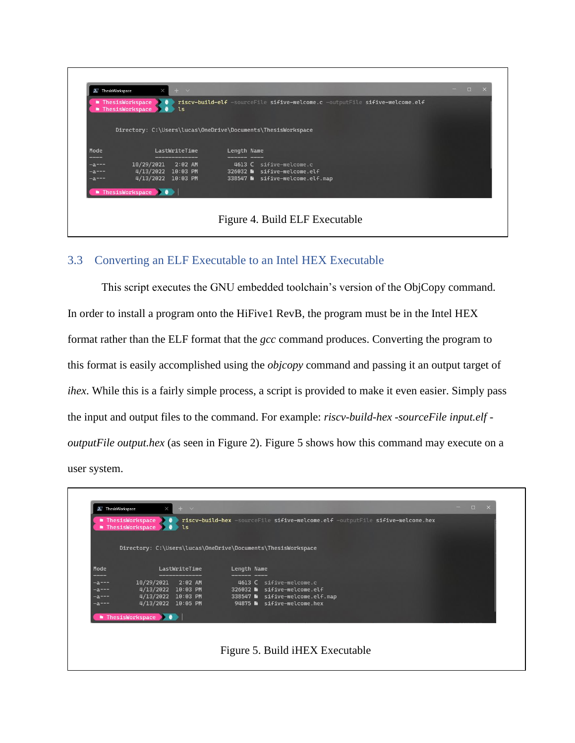|                         | ■ ThesisWorkspace → ●<br>■ ThesisWorkspace → ●<br><b>ls</b>                                                           | riscv-build-elf -sourceFile sifive-welcome.c -outputFile sifive-welcome.elf |  |
|-------------------------|-----------------------------------------------------------------------------------------------------------------------|-----------------------------------------------------------------------------|--|
|                         |                                                                                                                       | Directory: C:\Users\lucas\OneDrive\Documents\ThesisWorkspace                |  |
| Mode                    | LastWriteTime                                                                                                         |                                                                             |  |
| <u>magasayang m</u>     | <u> Bergera von der Stadt anderen Bergera von der Stadt anderen Bergera von der Stadt anderen Bergera von der Sta</u> | Length Name<br>_______________________                                      |  |
| $-a$ ---                | 10/29/2021<br>$2:02$ AM                                                                                               | 4613 C sifive-welcome.c                                                     |  |
| $- a - - -$<br>$-a ---$ | 4/13/2022 10:03 PM<br>4/13/2022 10:03 PM                                                                              | 326032 a sifive-welcome.elf<br>338547 h sifive-welcome.elf.map              |  |
|                         |                                                                                                                       |                                                                             |  |
|                         | $\blacksquare$ ThesisWorkspace $\blacktriangleright$ $\blacklozenge$                                                  |                                                                             |  |

### <span id="page-13-0"></span>3.3 Converting an ELF Executable to an Intel HEX Executable

This script executes the GNU embedded toolchain's version of the ObjCopy command. In order to install a program onto the HiFive1 RevB, the program must be in the Intel HEX format rather than the ELF format that the *gcc* command produces. Converting the program to this format is easily accomplished using the *objcopy* command and passing it an output target of *ihex*. While this is a fairly simple process, a script is provided to make it even easier. Simply pass the input and output files to the command. For example: *riscv-build-hex -sourceFile input.elf outputFile output.hex* (as seen in Figure 2). Figure 5 shows how this command may execute on a user system.

|                       | Directory: C:\Users\lucas\OneDrive\Documents\ThesisWorkspace                   |               |             |                                                                |  |
|-----------------------|--------------------------------------------------------------------------------|---------------|-------------|----------------------------------------------------------------|--|
| Mode<br>----          |                                                                                | LastWriteTime | Length Name |                                                                |  |
| -a---                 | 10/29/2021                                                                     | $2:02$ AM     |             | 4613 C sifive-welcome.c                                        |  |
| $-a---$<br>$-2 - - -$ | 4/13/2022 10:03 PM<br>4/13/2022 10:03 PM                                       |               |             | 326032 B sifive-welcome.elf<br>338547 M sifive-welcome.elf.map |  |
| $-a$ ---              | 4/13/2022 10:05 PM                                                             |               |             | 94875 a sifive-welcome.hex                                     |  |
|                       | $\blacksquare$ ThesisWorkspace $\blacktriangleright$ ( $\blacktriangleright$ ) |               |             |                                                                |  |

٦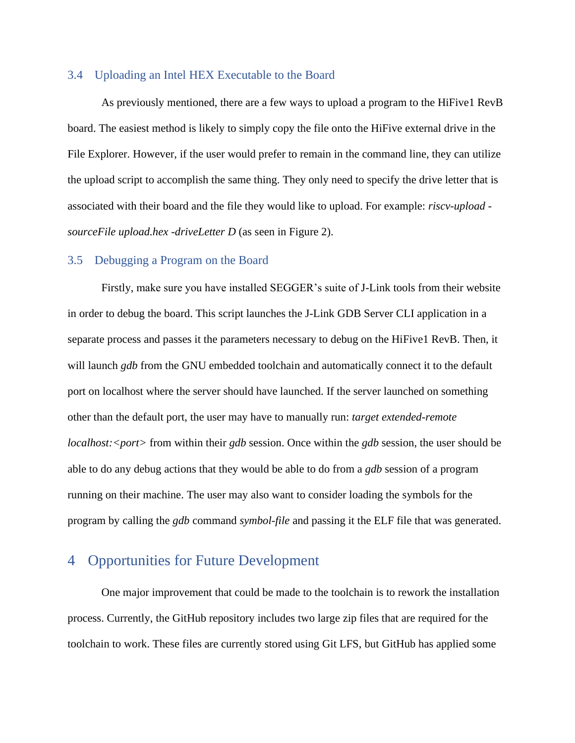#### <span id="page-14-0"></span>3.4 Uploading an Intel HEX Executable to the Board

As previously mentioned, there are a few ways to upload a program to the HiFive1 RevB board. The easiest method is likely to simply copy the file onto the HiFive external drive in the File Explorer. However, if the user would prefer to remain in the command line, they can utilize the upload script to accomplish the same thing. They only need to specify the drive letter that is associated with their board and the file they would like to upload. For example: *riscv-upload sourceFile upload.hex -driveLetter D* (as seen in Figure 2).

#### <span id="page-14-1"></span>3.5 Debugging a Program on the Board

Firstly, make sure you have installed SEGGER's suite of J-Link tools from their website in order to debug the board. This script launches the J-Link GDB Server CLI application in a separate process and passes it the parameters necessary to debug on the HiFive1 RevB. Then, it will launch *gdb* from the GNU embedded toolchain and automatically connect it to the default port on localhost where the server should have launched. If the server launched on something other than the default port, the user may have to manually run: *target extended-remote localhost: <port>* from within their *gdb* session. Once within the *gdb* session, the user should be able to do any debug actions that they would be able to do from a *gdb* session of a program running on their machine. The user may also want to consider loading the symbols for the program by calling the *gdb* command *symbol-file* and passing it the ELF file that was generated.

## <span id="page-14-2"></span>4 Opportunities for Future Development

One major improvement that could be made to the toolchain is to rework the installation process. Currently, the GitHub repository includes two large zip files that are required for the toolchain to work. These files are currently stored using Git LFS, but GitHub has applied some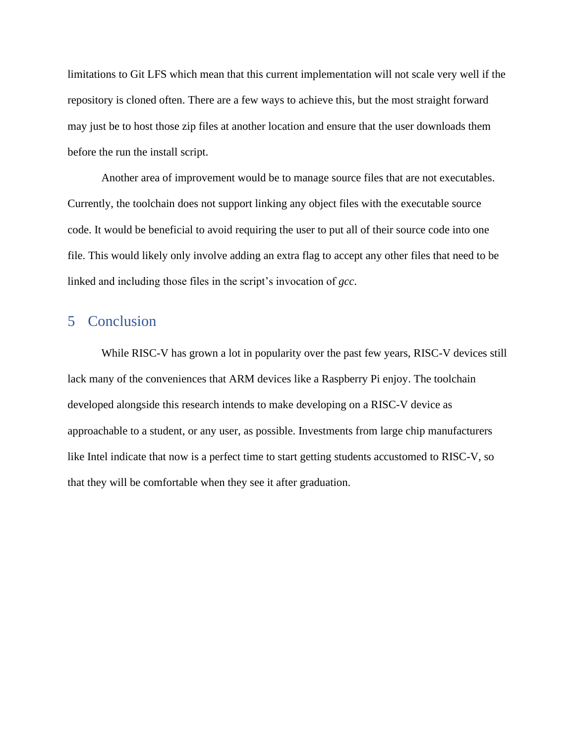limitations to Git LFS which mean that this current implementation will not scale very well if the repository is cloned often. There are a few ways to achieve this, but the most straight forward may just be to host those zip files at another location and ensure that the user downloads them before the run the install script.

Another area of improvement would be to manage source files that are not executables. Currently, the toolchain does not support linking any object files with the executable source code. It would be beneficial to avoid requiring the user to put all of their source code into one file. This would likely only involve adding an extra flag to accept any other files that need to be linked and including those files in the script's invocation of *gcc*.

## <span id="page-15-0"></span>5 Conclusion

While RISC-V has grown a lot in popularity over the past few years, RISC-V devices still lack many of the conveniences that ARM devices like a Raspberry Pi enjoy. The toolchain developed alongside this research intends to make developing on a RISC-V device as approachable to a student, or any user, as possible. Investments from large chip manufacturers like Intel indicate that now is a perfect time to start getting students accustomed to RISC-V, so that they will be comfortable when they see it after graduation.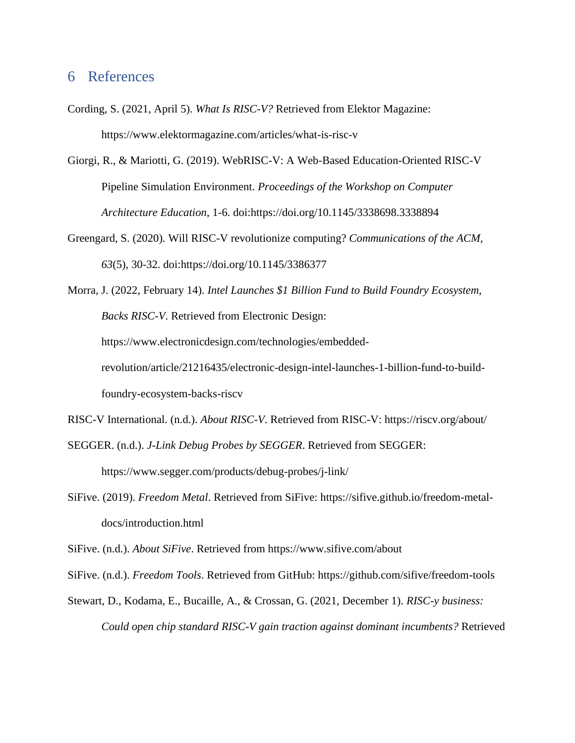## <span id="page-16-0"></span>6 References

- Cording, S. (2021, April 5). *What Is RISC-V?* Retrieved from Elektor Magazine: https://www.elektormagazine.com/articles/what-is-risc-v
- Giorgi, R., & Mariotti, G. (2019). WebRISC-V: A Web-Based Education-Oriented RISC-V Pipeline Simulation Environment. *Proceedings of the Workshop on Computer Architecture Education*, 1-6. doi:https://doi.org/10.1145/3338698.3338894
- Greengard, S. (2020). Will RISC-V revolutionize computing? *Communications of the ACM, 63*(5), 30-32. doi:https://doi.org/10.1145/3386377
- Morra, J. (2022, February 14). *Intel Launches \$1 Billion Fund to Build Foundry Ecosystem, Backs RISC-V*. Retrieved from Electronic Design: https://www.electronicdesign.com/technologies/embeddedrevolution/article/21216435/electronic-design-intel-launches-1-billion-fund-to-buildfoundry-ecosystem-backs-riscv
- RISC-V International. (n.d.). *About RISC-V*. Retrieved from RISC-V: https://riscv.org/about/ SEGGER. (n.d.). *J-Link Debug Probes by SEGGER*. Retrieved from SEGGER:

https://www.segger.com/products/debug-probes/j-link/

SiFive. (2019). *Freedom Metal*. Retrieved from SiFive: https://sifive.github.io/freedom-metaldocs/introduction.html

SiFive. (n.d.). *About SiFive*. Retrieved from https://www.sifive.com/about

SiFive. (n.d.). *Freedom Tools*. Retrieved from GitHub: https://github.com/sifive/freedom-tools

Stewart, D., Kodama, E., Bucaille, A., & Crossan, G. (2021, December 1). *RISC-y business: Could open chip standard RISC-V gain traction against dominant incumbents?* Retrieved